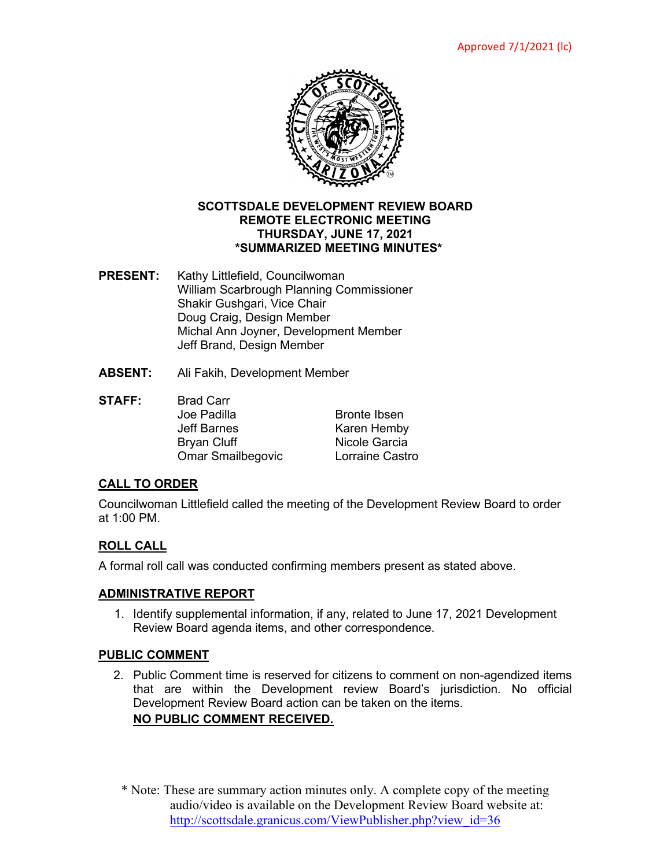

### **SCOTTSDALE DEVELOPMENT REVIEW BOARD REMOTE ELECTRONIC MEETING THURSDAY, JUNE 17, 2021 \*SUMMARIZED MEETING MINUTES\***

- **PRESENT:** Kathy Littlefield, Councilwoman William Scarbrough Planning Commissioner Shakir Gushgari, Vice Chair Doug Craig, Design Member Michal Ann Joyner, Development Member Jeff Brand, Design Member
- **ABSENT:** Ali Fakih, Development Member
- **STAFF:** Brad Carr Joe Padilla **Bronte Ibsen** Jeff Barnes Karen Hemby Bryan Cluff **Nicole Garcia**<br>
Omar Smailbegovic Lorraine Castro Omar Smailbegovic

# **CALL TO ORDER**

Councilwoman Littlefield called the meeting of the Development Review Board to order at 1:00 PM.

# **ROLL CALL**

A formal roll call was conducted confirming members present as stated above.

# **ADMINISTRATIVE REPORT**

1. Identify supplemental information, if any, related to June 17, 2021 Development Review Board agenda items, and other correspondence.

# **PUBLIC COMMENT**

2. Public Comment time is reserved for citizens to comment on non-agendized items that are within the Development review Board's jurisdiction. No official Development Review Board action can be taken on the items.

# **NO PUBLIC COMMENT RECEIVED.**

\* Note: These are summary action minutes only. A complete copy of the meeting audio/video is available on the Development Review Board website at: [http://scottsdale.granicus.com/ViewPublisher.php?view\\_id=36](http://scottsdale.granicus.com/ViewPublisher.php?view_id=36)